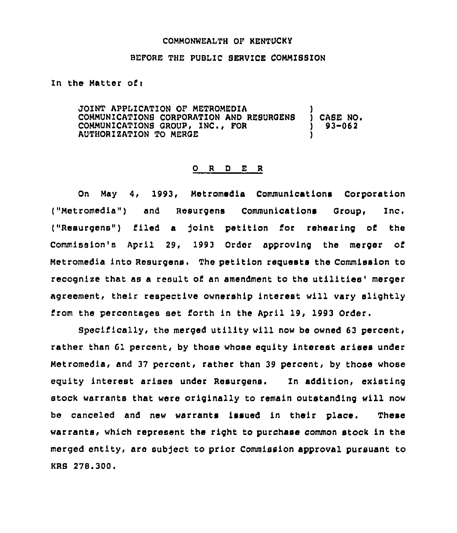## COMMONWEALTH OP KENTUCKy

## BEFORE THE PUBLIC SERVICE COMMISSION

In the Matter of <sup>i</sup>

JOINT APPLICATION OP METROMEDIA ) COMMUNICATIONS CORPORATION AND RESURGENS ) CASE NO.<br>COMMUNICATIONS GROUP, INC., FOR COMMUNICATIONS GROUP, INC., FOR AUTHORIZATION TO MEROE )

## 0 <sup>R</sup> <sup>D</sup> E <sup>R</sup>

On May 4, 1993, Met romedia Communications Corporation ("Metromedia") and Reeurgens Communications Group, Inc. ("Resurgens") fi.led a )oint petition for rehearing of the Commission's April 29, 1993 Order approving the merger of Metromedia into Resurgens. The petition requests the Commission to recognize that as a result of an amendment to the utilities' merger agreement, their respective ownership interest will vary slightly from the percentages set forth in the April 19, 1993 Order,

Specifically, the merged utility will now be owned 63 percent, rather than 61 percent, by those whose eguity interest arises under Metromedia, and 37 percent, rather than 39 percent, by those whose eguity interest arises under Resurgens. In addition, existing stock warrants that were originally to remain outstanding will now be canceled and new warrants issued in their place. These warrants< which represent the right to purchase common stock in the merged entity, are subject to prior Commission approval pursuant to KRS 278.300.